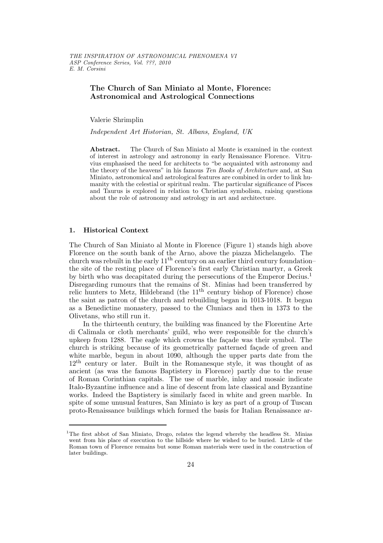# The Church of San Miniato al Monte, Florence: Astronomical and Astrological Connections

Valerie Shrimplin

Independent Art Historian, St. Albans, England, UK

Abstract. The Church of San Miniato al Monte is examined in the context of interest in astrology and astronomy in early Renaissance Florence. Vitruvius emphasised the need for architects to "be acquainted with astronomy and the theory of the heavens" in his famous Ten Books of Architecture and, at San Miniato, astronomical and astrological features are combined in order to link humanity with the celestial or spiritual realm. The particular significance of Pisces and Taurus is explored in relation to Christian symbolism, raising questions about the role of astronomy and astrology in art and architecture.

## 1. Historical Context

The Church of San Miniato al Monte in Florence (Figure 1) stands high above Florence on the south bank of the Arno, above the piazza Michelangelo. The church was rebuilt in the early  $11<sup>th</sup>$  century on an earlier third century foundation– the site of the resting place of Florence's first early Christian martyr, a Greek by birth who was decapitated during the persecutions of the Emperor Decius.<sup>1</sup> Disregarding rumours that the remains of St. Minias had been transferred by relic hunters to Metz, Hildebrand (the  $11<sup>th</sup>$  century bishop of Florence) chose the saint as patron of the church and rebuilding began in 1013-1018. It began as a Benedictine monastery, passed to the Cluniacs and then in 1373 to the Olivetans, who still run it.

In the thirteenth century, the building was financed by the Florentine Arte di Calimala or cloth merchants' guild, who were responsible for the church's upkeep from 1288. The eagle which crowns the façade was their symbol. The church is striking because of its geometrically patterned façade of green and white marble, begun in about 1090, although the upper parts date from the 12<sup>th</sup> century or later. Built in the Romanesque style, it was thought of as ancient (as was the famous Baptistery in Florence) partly due to the reuse of Roman Corinthian capitals. The use of marble, inlay and mosaic indicate Italo-Byzantine influence and a line of descent from late classical and Byzantine works. Indeed the Baptistery is similarly faced in white and green marble. In spite of some unusual features, San Miniato is key as part of a group of Tuscan proto-Renaissance buildings which formed the basis for Italian Renaissance ar-

<sup>&</sup>lt;sup>1</sup>The first abbot of San Miniato, Drogo, relates the legend whereby the headless St. Minias went from his place of execution to the hillside where he wished to be buried. Little of the Roman town of Florence remains but some Roman materials were used in the construction of later buildings.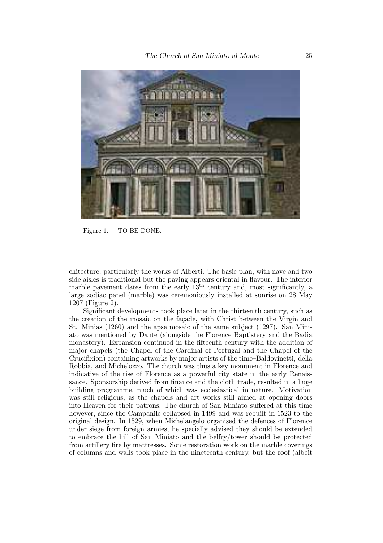

Figure 1. TO BE DONE.

chitecture, particularly the works of Alberti. The basic plan, with nave and two side aisles is traditional but the paving appears oriental in flavour. The interior marble pavement dates from the early  $13<sup>th</sup>$  century and, most significantly, a large zodiac panel (marble) was ceremoniously installed at sunrise on 28 May 1207 (Figure 2).

Significant developments took place later in the thirteenth century, such as the creation of the mosaic on the façade, with Christ between the Virgin and St. Minias (1260) and the apse mosaic of the same subject (1297). San Miniato was mentioned by Dante (alongside the Florence Baptistery and the Badia monastery). Expansion continued in the fifteenth century with the addition of major chapels (the Chapel of the Cardinal of Portugal and the Chapel of the Crucifixion) containing artworks by major artists of the time–Baldovinetti, della Robbia, and Michelozzo. The church was thus a key monument in Florence and indicative of the rise of Florence as a powerful city state in the early Renaissance. Sponsorship derived from finance and the cloth trade, resulted in a huge building programme, much of which was ecclesiastical in nature. Motivation was still religious, as the chapels and art works still aimed at opening doors into Heaven for their patrons. The church of San Miniato suffered at this time however, since the Campanile collapsed in 1499 and was rebuilt in 1523 to the original design. In 1529, when Michelangelo organised the defences of Florence under siege from foreign armies, he specially advised they should be extended to embrace the hill of San Miniato and the belfry/tower should be protected from artillery fire by mattresses. Some restoration work on the marble coverings of columns and walls took place in the nineteenth century, but the roof (albeit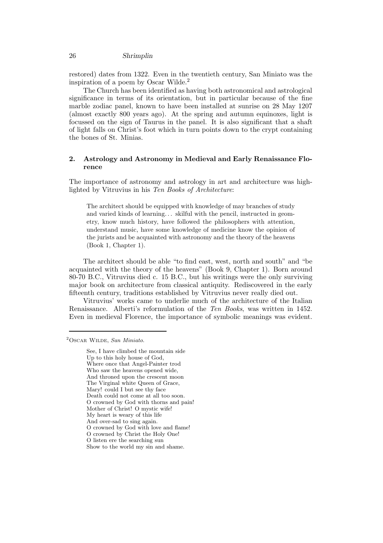#### 26 Shrimplin

restored) dates from 1322. Even in the twentieth century, San Miniato was the inspiration of a poem by Oscar Wilde.<sup>2</sup>

The Church has been identified as having both astronomical and astrological significance in terms of its orientation, but in particular because of the fine marble zodiac panel, known to have been installed at sunrise on 28 May 1207 (almost exactly 800 years ago). At the spring and autumn equinoxes, light is focussed on the sign of Taurus in the panel. It is also significant that a shaft of light falls on Christ's foot which in turn points down to the crypt containing the bones of St. Minias.

#### 2. Astrology and Astronomy in Medieval and Early Renaissance Florence

The importance of astronomy and astrology in art and architecture was highlighted by Vitruvius in his Ten Books of Architecture:

The architect should be equipped with knowledge of may branches of study and varied kinds of learning. . . skilful with the pencil, instructed in geometry, know much history, have followed the philosophers with attention, understand music, have some knowledge of medicine know the opinion of the jurists and be acquainted with astronomy and the theory of the heavens (Book 1, Chapter 1).

The architect should be able "to find east, west, north and south" and "be acquainted with the theory of the heavens" (Book 9, Chapter 1). Born around 80-70 B.C., Vitruvius died c. 15 B.C., but his writings were the only surviving major book on architecture from classical antiquity. Rediscovered in the early fifteenth century, traditions established by Vitruvius never really died out.

Vitruvius' works came to underlie much of the architecture of the Italian Renaissance. Alberti's reformulation of the Ten Books, was written in 1452. Even in medieval Florence, the importance of symbolic meanings was evident.

 $2$ OSCAR WILDE, San Miniato.

See, I have climbed the mountain side Up to this holy house of God, Where once that Angel-Painter trod Who saw the heavens opened wide, And throned upon the crescent moon The Virginal white Queen of Grace, Mary! could I but see thy face Death could not come at all too soon. O crowned by God with thorns and pain! Mother of Christ! O mystic wife! My heart is weary of this life And over-sad to sing again. O crowned by God with love and flame! O crowned by Christ the Holy One! O listen ere the searching sun Show to the world my sin and shame.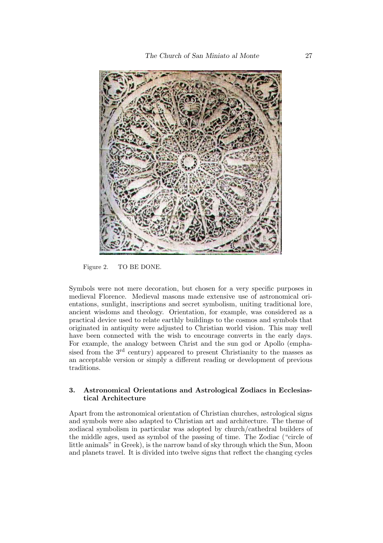

Figure 2. TO BE DONE.

Symbols were not mere decoration, but chosen for a very specific purposes in medieval Florence. Medieval masons made extensive use of astronomical orientations, sunlight, inscriptions and secret symbolism, uniting traditional lore, ancient wisdoms and theology. Orientation, for example, was considered as a practical device used to relate earthly buildings to the cosmos and symbols that originated in antiquity were adjusted to Christian world vision. This may well have been connected with the wish to encourage converts in the early days. For example, the analogy between Christ and the sun god or Apollo (emphasised from the  $3<sup>rd</sup>$  century) appeared to present Christianity to the masses as an acceptable version or simply a different reading or development of previous traditions.

## 3. Astronomical Orientations and Astrological Zodiacs in Ecclesiastical Architecture

Apart from the astronomical orientation of Christian churches, astrological signs and symbols were also adapted to Christian art and architecture. The theme of zodiacal symbolism in particular was adopted by church/cathedral builders of the middle ages, used as symbol of the passing of time. The Zodiac ("circle of little animals" in Greek), is the narrow band of sky through which the Sun, Moon and planets travel. It is divided into twelve signs that reflect the changing cycles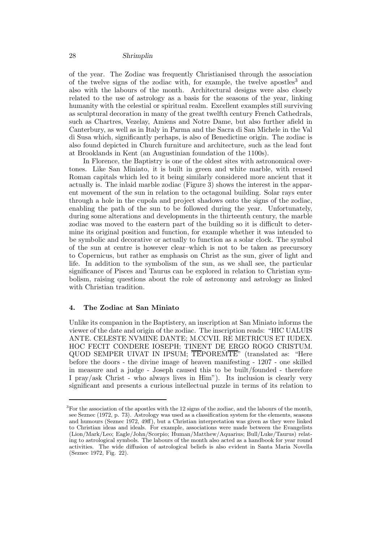of the year. The Zodiac was frequently Christianised through the association of the twelve signs of the zodiac with, for example, the twelve apostles<sup>3</sup> and also with the labours of the month. Architectural designs were also closely related to the use of astrology as a basis for the seasons of the year, linking humanity with the celestial or spiritual realm. Excellent examples still surviving as sculptural decoration in many of the great twelfth century French Cathedrals, such as Chartres, Vezelay, Amiens and Notre Dame, but also further afield in Canterbury, as well as in Italy in Parma and the Sacra di San Michele in the Val di Susa which, significantly perhaps, is also of Benedictine origin. The zodiac is also found depicted in Church furniture and architecture, such as the lead font at Brooklands in Kent (an Augustinian foundation of the 1100s).

In Florence, the Baptistry is one of the oldest sites with astronomical overtones. Like San Miniato, it is built in green and white marble, with reused Roman capitals which led to it being similarly considered more ancient that it actually is. The inlaid marble zodiac (Figure 3) shows the interest in the apparent movement of the sun in relation to the octagonal building. Solar rays enter through a hole in the cupola and project shadows onto the signs of the zodiac, enabling the path of the sun to be followed during the year. Unfortunately, during some alterations and developments in the thirteenth century, the marble zodiac was moved to the eastern part of the building so it is difficult to determine its original position and function, for example whether it was intended to be symbolic and decorative or actually to function as a solar clock. The symbol of the sun at centre is however clear–which is not to be taken as precursory to Copernicus, but rather as emphasis on Christ as the sun, giver of light and life. In addition to the symbolism of the sun, as we shall see, the particular significance of Pisces and Taurus can be explored in relation to Christian symbolism, raising questions about the role of astronomy and astrology as linked with Christian tradition.

# 4. The Zodiac at San Miniato

Unlike its companion in the Baptistery, an inscription at San Miniato informs the viewer of the date and origin of the zodiac. The inscription reads: "HIC UALUIS ANTE. CELESTE NVMINE DANTE; M.CCVII. RE METRICUS ET IUDEX. HOC FECIT CONDERE IOSEPH; TINENT DE ERGO ROGO CRISTUM. QUOD SEMPER UIVAT IN IPSUM;  $\overline{\text{TEPOREMTE}}$ " (translated as: "Here before the doors - the divine image of heaven manifesting - 1207 - one skilled in measure and a judge - Joseph caused this to be built/founded - therefore I pray/ask Christ - who always lives in Him"). Its inclusion is clearly very significant and presents a curious intellectual puzzle in terms of its relation to

 $3$ For the association of the apostles with the 12 signs of the zodiac, and the labours of the month, see Seznec (1972, p. 73). Astrology was used as a classification system for the elements, seasons and humours (Seznec 1972, 49ff), but a Christian interpretation was given as they were linked to Christian ideas and ideals. For example, associations were made between the Evangelists (Lion/Mark/Leo; Eagle/John/Scorpio; Human/Matthew/Aquarius; Bull/Luke/Taurus) relating to astrological symbols. The labours of the month also acted as a handbook for year round activities. The wide diffusion of astrological beliefs is also evident in Santa Maria Novella (Seznec 1972, Fig. 22).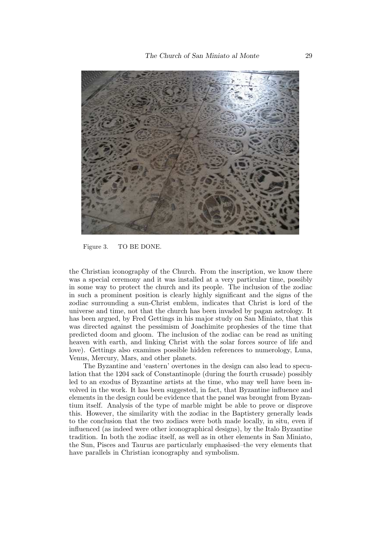

Figure 3. TO BE DONE.

the Christian iconography of the Church. From the inscription, we know there was a special ceremony and it was installed at a very particular time, possibly in some way to protect the church and its people. The inclusion of the zodiac in such a prominent position is clearly highly significant and the signs of the zodiac surrounding a sun-Christ emblem, indicates that Christ is lord of the universe and time, not that the church has been invaded by pagan astrology. It has been argued, by Fred Gettings in his major study on San Miniato, that this was directed against the pessimism of Joachimite prophesies of the time that predicted doom and gloom. The inclusion of the zodiac can be read as uniting heaven with earth, and linking Christ with the solar forces source of life and love). Gettings also examines possible hidden references to numerology, Luna, Venus, Mercury, Mars, and other planets.

The Byzantine and 'eastern' overtones in the design can also lead to speculation that the 1204 sack of Constantinople (during the fourth crusade) possibly led to an exodus of Byzantine artists at the time, who may well have been involved in the work. It has been suggested, in fact, that Byzantine influence and elements in the design could be evidence that the panel was brought from Byzantium itself. Analysis of the type of marble might be able to prove or disprove this. However, the similarity with the zodiac in the Baptistery generally leads to the conclusion that the two zodiacs were both made locally, in situ, even if influenced (as indeed were other iconographical designs), by the Italo Byzantine tradition. In both the zodiac itself, as well as in other elements in San Miniato, the Sun, Pisces and Taurus are particularly emphasised–the very elements that have parallels in Christian iconography and symbolism.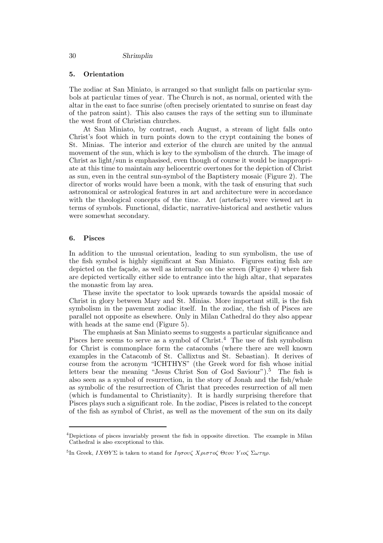## 5. Orientation

The zodiac at San Miniato, is arranged so that sunlight falls on particular symbols at particular times of year. The Church is not, as normal, oriented with the altar in the east to face sunrise (often precisely orientated to sunrise on feast day of the patron saint). This also causes the rays of the setting sun to illuminate the west front of Christian churches.

At San Miniato, by contrast, each August, a stream of light falls onto Christ's foot which in turn points down to the crypt containing the bones of St. Minias. The interior and exterior of the church are united by the annual movement of the sun, which is key to the symbolism of the church. The image of Christ as light/sun is emphasised, even though of course it would be inappropriate at this time to maintain any heliocentric overtones for the depiction of Christ as sun, even in the central sun-symbol of the Baptistery mosaic (Figure 2). The director of works would have been a monk, with the task of ensuring that such astronomical or astrological features in art and architecture were in accordance with the theological concepts of the time. Art (artefacts) were viewed art in terms of symbols. Functional, didactic, narrative-historical and aesthetic values were somewhat secondary.

#### 6. Pisces

In addition to the unusual orientation, leading to sun symbolism, the use of the fish symbol is highly significant at San Miniato. Figures eating fish are depicted on the façade, as well as internally on the screen (Figure 4) where fish are depicted vertically either side to entrance into the high altar, that separates the monastic from lay area.

These invite the spectator to look upwards towards the apsidal mosaic of Christ in glory between Mary and St. Minias. More important still, is the fish symbolism in the pavement zodiac itself. In the zodiac, the fish of Pisces are parallel not opposite as elsewhere. Only in Milan Cathedral do they also appear with heads at the same end (Figure 5).

The emphasis at San Miniato seems to suggests a particular significance and Pisces here seems to serve as a symbol of  $Christ.4$  The use of fish symbolism for Christ is commonplace form the catacombs (where there are well known examples in the Catacomb of St. Callixtus and St. Sebastian). It derives of course from the acronym "ICHTHYS" (the Greek word for fish whose initial letters bear the meaning "Jesus Christ Son of God Saviour").<sup>5</sup> The fish is also seen as a symbol of resurrection, in the story of Jonah and the fish/whale as symbolic of the resurrection of Christ that precedes resurrection of all men (which is fundamental to Christianity). It is hardly surprising therefore that Pisces plays such a significant role. In the zodiac, Pisces is related to the concept of the fish as symbol of Christ, as well as the movement of the sun on its daily

<sup>4</sup>Depictions of pisces invariably present the fish in opposite direction. The example in Milan Cathedral is also exceptional to this.

<sup>&</sup>lt;sup>5</sup>In Greek,  $IX\Theta Y\Sigma$  is taken to stand for  $I\eta\sigma o\nu\zeta X\rho\iota\sigma\tau o\zeta \Theta\varepsilon o\nu Y\iota o\zeta \Sigma\omega\tau\eta\rho$ .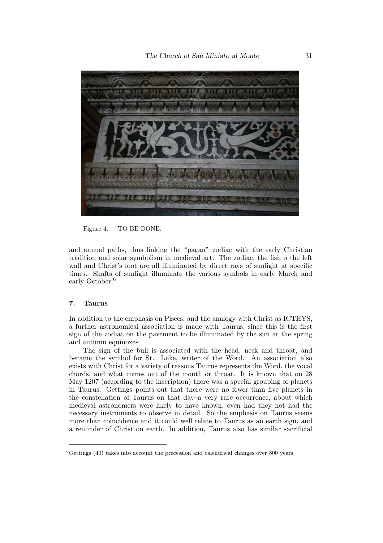

Figure 4. TO BE DONE.

and annual paths, thus linking the "pagan" zodiac with the early Christian tradition and solar symbolism in medieval art. The zodiac, the fish o the left wall and Christ's foot are all illuminated by direct rays of sunlight at specific times. Shafts of sunlight illuminate the various symbols in early March and early October.<sup>6</sup>

#### 7. Taurus

In addition to the emphasis on Pisces, and the analogy with Christ as ICTHYS, a further astronomical association is made with Taurus, since this is the first sign of the zodiac on the pavement to be illuminated by the sun at the spring and autumn equinoxes.

The sign of the bull is associated with the head, neck and throat, and became the symbol for St. Luke, writer of the Word. An association also exists with Christ for a variety of reasons Taurus represents the Word, the vocal chords, and what comes out of the mouth or throat. It is known that on 28 May 1207 (according to the inscription) there was a special grouping of planets in Taurus. Gettings points out that there were no fewer than five planets in the constellation of Taurus on that day–a very rare occurrence, about which medieval astronomers were likely to have known, even had they not had the necessary instruments to observe in detail. So the emphasis on Taurus seems more than coincidence and it could well relate to Taurus as an earth sign, and a reminder of Christ on earth. In addition, Taurus also has similar sacrificial

 ${}^{6}$ Gettings (40) takes into account the precession and calendrical changes over 800 years.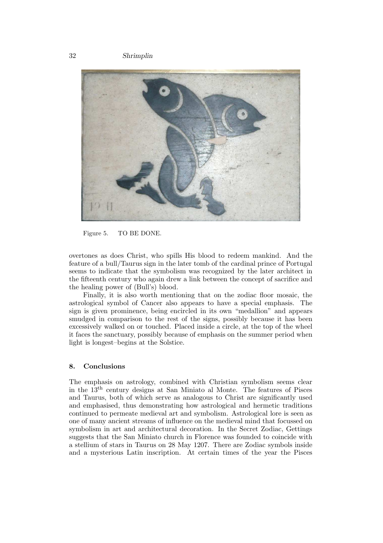32 Shrimplin

![](_page_8_Picture_1.jpeg)

Figure 5. TO BE DONE.

overtones as does Christ, who spills His blood to redeem mankind. And the feature of a bull/Taurus sign in the later tomb of the cardinal prince of Portugal seems to indicate that the symbolism was recognized by the later architect in the fifteenth century who again drew a link between the concept of sacrifice and the healing power of (Bull's) blood.

Finally, it is also worth mentioning that on the zodiac floor mosaic, the astrological symbol of Cancer also appears to have a special emphasis. The sign is given prominence, being encircled in its own "medallion" and appears smudged in comparison to the rest of the signs, possibly because it has been excessively walked on or touched. Placed inside a circle, at the top of the wheel it faces the sanctuary, possibly because of emphasis on the summer period when light is longest–begins at the Solstice.

#### 8. Conclusions

The emphasis on astrology, combined with Christian symbolism seems clear in the 13th century designs at San Miniato al Monte. The features of Pisces and Taurus, both of which serve as analogous to Christ are significantly used and emphasised, thus demonstrating how astrological and hermetic traditions continued to permeate medieval art and symbolism. Astrological lore is seen as one of many ancient streams of influence on the medieval mind that focussed on symbolism in art and architectural decoration. In the Secret Zodiac, Gettings suggests that the San Miniato church in Florence was founded to coincide with a stellium of stars in Taurus on 28 May 1207. There are Zodiac symbols inside and a mysterious Latin inscription. At certain times of the year the Pisces